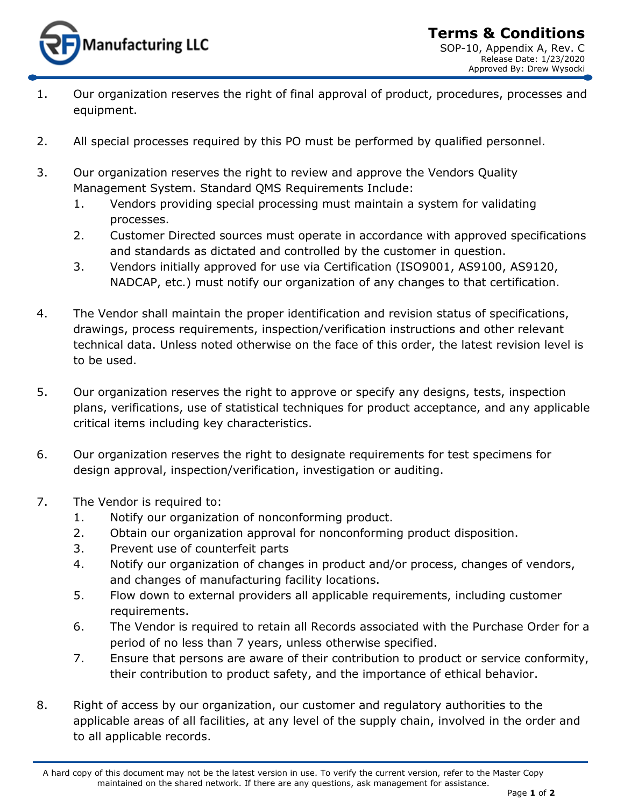

- 1. Our organization reserves the right of final approval of product, procedures, processes and equipment.
- 2. All special processes required by this PO must be performed by qualified personnel.
- 3. Our organization reserves the right to review and approve the Vendors Quality Management System. Standard QMS Requirements Include:
	- 1. Vendors providing special processing must maintain a system for validating processes.
	- 2. Customer Directed sources must operate in accordance with approved specifications and standards as dictated and controlled by the customer in question.
	- 3. Vendors initially approved for use via Certification (ISO9001, AS9100, AS9120, NADCAP, etc.) must notify our organization of any changes to that certification.
- 4. The Vendor shall maintain the proper identification and revision status of specifications, drawings, process requirements, inspection/verification instructions and other relevant technical data. Unless noted otherwise on the face of this order, the latest revision level is to be used.
- 5. Our organization reserves the right to approve or specify any designs, tests, inspection plans, verifications, use of statistical techniques for product acceptance, and any applicable critical items including key characteristics.
- 6. Our organization reserves the right to designate requirements for test specimens for design approval, inspection/verification, investigation or auditing.
- 7. The Vendor is required to:
	- 1. Notify our organization of nonconforming product.
	- 2. Obtain our organization approval for nonconforming product disposition.
	- 3. Prevent use of counterfeit parts
	- 4. Notify our organization of changes in product and/or process, changes of vendors, and changes of manufacturing facility locations.
	- 5. Flow down to external providers all applicable requirements, including customer requirements.
	- 6. The Vendor is required to retain all Records associated with the Purchase Order for a period of no less than 7 years, unless otherwise specified.
	- 7. Ensure that persons are aware of their contribution to product or service conformity, their contribution to product safety, and the importance of ethical behavior.
- 8. Right of access by our organization, our customer and regulatory authorities to the applicable areas of all facilities, at any level of the supply chain, involved in the order and to all applicable records.

A hard copy of this document may not be the latest version in use. To verify the current version, refer to the Master Copy maintained on the shared network. If there are any questions, ask management for assistance.